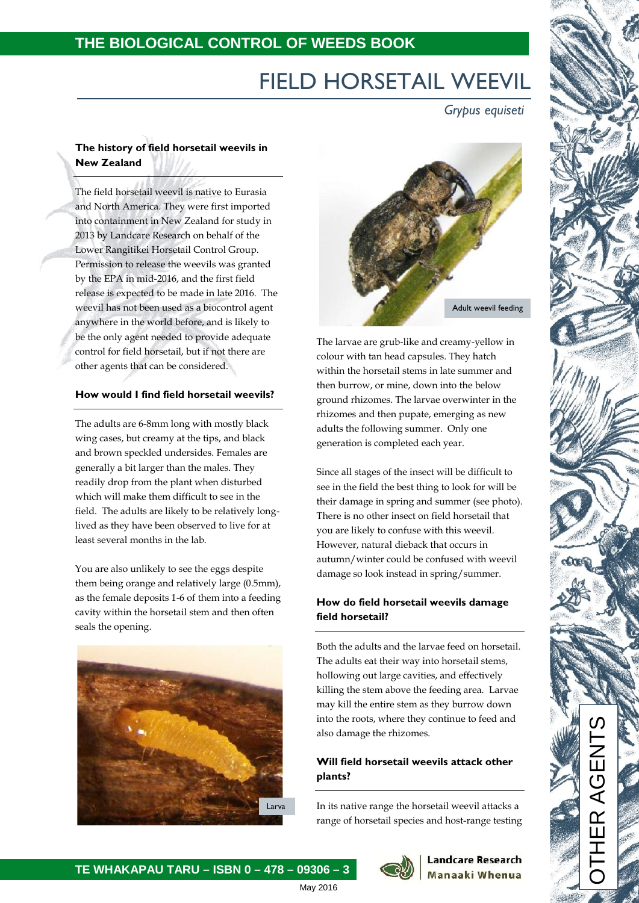## **THE BIOLOGICAL CONTROL OF WEEDS BOOK**

# FIELD HORSETAIL WEEVIL

*Grypus equiseti*

## **The history of field horsetail weevils in New Zealand**

The field horsetail weevil is native to Eurasia and North America. They were first imported into containment in New Zealand for study in 2013 by Landcare Research on behalf of the Lower Rangitikei Horsetail Control Group. Permission to release the weevils was granted by the EPA in mid-2016, and the first field release is expected to be made in late 2016. The weevil has not been used as a biocontrol agent anywhere in the world before, and is likely to be the only agent needed to provide adequate control for field horsetail, but if not there are other agents that can be considered.

#### **How would I find field horsetail weevils?**

The adults are 6-8mm long with mostly black wing cases, but creamy at the tips, and black and brown speckled undersides. Females are generally a bit larger than the males. They readily drop from the plant when disturbed which will make them difficult to see in the field. The adults are likely to be relatively longlived as they have been observed to live for at least several months in the lab.

You are also unlikely to see the eggs despite them being orange and relatively large (0.5mm), as the female deposits 1-6 of them into a feeding cavity within the horsetail stem and then often seals the opening.



**TE WHAKAPAU TARU – ISBN 0 – 478 – 09306 – 3**



The larvae are grub-like and creamy-yellow in colour with tan head capsules. They hatch within the horsetail stems in late summer and then burrow, or mine, down into the below ground rhizomes. The larvae overwinter in the rhizomes and then pupate, emerging as new adults the following summer. Only one generation is completed each year.

Since all stages of the insect will be difficult to see in the field the best thing to look for will be their damage in spring and summer (see photo). There is no other insect on field horsetail that you are likely to confuse with this weevil. However, natural dieback that occurs in autumn/winter could be confused with weevil damage so look instead in spring/summer.

### **How do field horsetail weevils damage field horsetail?**

Both the adults and the larvae feed on horsetail. The adults eat their way into horsetail stems, hollowing out large cavities, and effectively killing the stem above the feeding area. Larvae may kill the entire stem as they burrow down into the roots, where they continue to feed and also damage the rhizomes.

## **Will field horsetail weevils attack other plants?**

In its native range the horsetail weevil attacks a range of horsetail species and host-range testing



#### **Landcare Research** Manaaki Whenua

OTHER AGENTS

May 2016